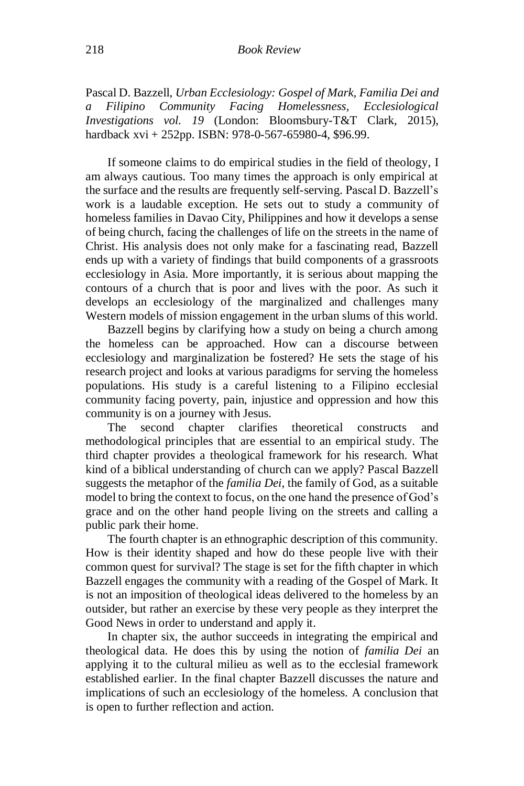Pascal D. Bazzell, *Urban Ecclesiology: Gospel of Mark, Familia Dei and a Filipino Community Facing Homelessness, Ecclesiological Investigations vol. 19* (London: Bloomsbury-T&T Clark, 2015), hardback xvi + 252pp. ISBN: 978-0-567-65980-4, \$96.99.

If someone claims to do empirical studies in the field of theology, I am always cautious. Too many times the approach is only empirical at the surface and the results are frequently self-serving. Pascal D. Bazzell's work is a laudable exception. He sets out to study a community of homeless families in Davao City, Philippines and how it develops a sense of being church, facing the challenges of life on the streets in the name of Christ. His analysis does not only make for a fascinating read, Bazzell ends up with a variety of findings that build components of a grassroots ecclesiology in Asia. More importantly, it is serious about mapping the contours of a church that is poor and lives with the poor. As such it develops an ecclesiology of the marginalized and challenges many Western models of mission engagement in the urban slums of this world.

Bazzell begins by clarifying how a study on being a church among the homeless can be approached. How can a discourse between ecclesiology and marginalization be fostered? He sets the stage of his research project and looks at various paradigms for serving the homeless populations. His study is a careful listening to a Filipino ecclesial community facing poverty, pain, injustice and oppression and how this community is on a journey with Jesus.

The second chapter clarifies theoretical constructs and methodological principles that are essential to an empirical study. The third chapter provides a theological framework for his research. What kind of a biblical understanding of church can we apply? Pascal Bazzell suggests the metaphor of the *familia Dei*, the family of God, as a suitable model to bring the context to focus, on the one hand the presence of God's grace and on the other hand people living on the streets and calling a public park their home.

The fourth chapter is an ethnographic description of this community. How is their identity shaped and how do these people live with their common quest for survival? The stage is set for the fifth chapter in which Bazzell engages the community with a reading of the Gospel of Mark. It is not an imposition of theological ideas delivered to the homeless by an outsider, but rather an exercise by these very people as they interpret the Good News in order to understand and apply it.

In chapter six, the author succeeds in integrating the empirical and theological data. He does this by using the notion of *familia Dei* an applying it to the cultural milieu as well as to the ecclesial framework established earlier. In the final chapter Bazzell discusses the nature and implications of such an ecclesiology of the homeless. A conclusion that is open to further reflection and action.